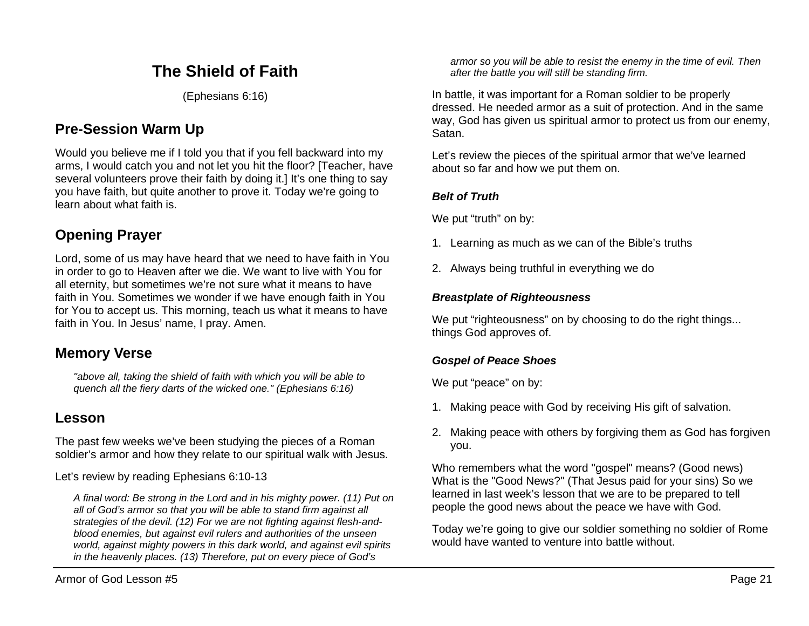# **The Shield of Faith**

(Ephesians 6:16)

# **Pre-Session Warm Up**

Would you believe me if I told you that if you fell backward into my arms, I would catch you and not let you hit the floor? [Teacher, have several volunteers prove their faith by doing it.] It's one thing to say you have faith, but quite another to prove it. Today we're going to learn about what faith is.

# **Opening Prayer**

Lord, some of us may have heard that we need to have faith in You in order to go to Heaven after we die. We want to live with You for all eternity, but sometimes we're not sure what it means to have faith in You. Sometimes we wonder if we have enough faith in You for You to accept us. This morning, teach us what it means to have faith in You. In Jesus' name, I pray. Amen.

## **Memory Verse**

*"above all, taking the shield of faith with which you will be able to quench all the fiery darts of the wicked one." (Ephesians 6:16)*

## **Lesson**

The past few weeks we've been studying the pieces of a Roman soldier's armor and how they relate to our spiritual walk with Jesus.

Let's review by reading Ephesians 6:10-13

*A final word: Be strong in the Lord and in his mighty power. (11) Put on all of God's armor so that you will be able to stand firm against all strategies of the devil. (12) For we are not fighting against flesh-andblood enemies, but against evil rulers and authorities of the unseen world, against mighty powers in this dark world, and against evil spirits in the heavenly places. (13) Therefore, put on every piece of God's* 

*armor so you will be able to resist the enemy in the time of evil. Then after the battle you will still be standing firm.*

In battle, it was important for a Roman soldier to be properly dressed. He needed armor as a suit of protection. And in the same way, God has given us spiritual armor to protect us from our enemy, Satan.

Let's review the pieces of the spiritual armor that we've learned about so far and how we put them on.

### *Belt of Truth*

We put "truth" on by:

- 1. Learning as much as we can of the Bible's truths
- 2. Always being truthful in everything we do

#### *Breastplate of Righteousness*

We put "righteousness" on by choosing to do the right things... things God approves of.

### *Gospel of Peace Shoes*

We put "peace" on by:

- 1. Making peace with God by receiving His gift of salvation.
- 2. Making peace with others by forgiving them as God has forgiven you.

Who remembers what the word "gospel" means? (Good news) What is the "Good News?" (That Jesus paid for your sins) So we learned in last week's lesson that we are to be prepared to tell people the good news about the peace we have with God.

Today we're going to give our soldier something no soldier of Rome would have wanted to venture into battle without.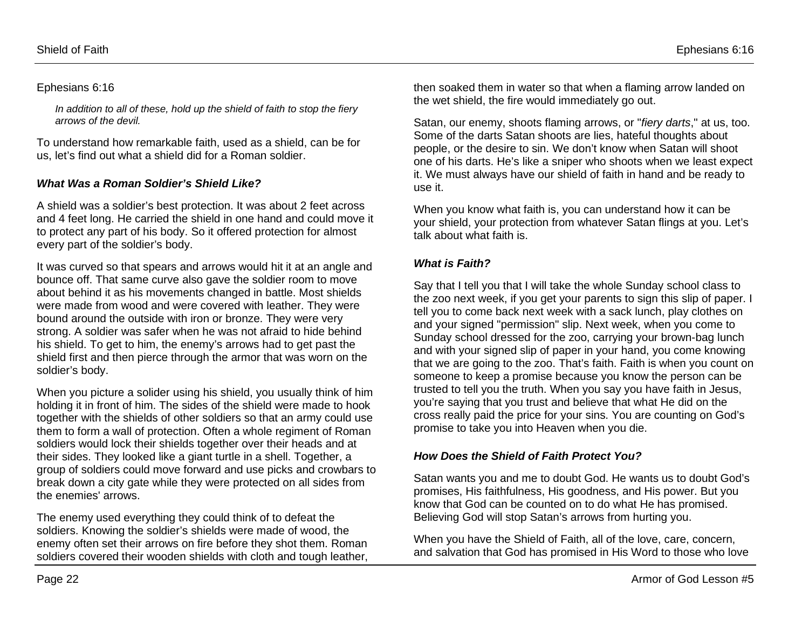*In addition to all of these, hold up the shield of faith to stop the fiery arrows of the devil.*

To understand how remarkable faith, used as a shield, can be for us, let's find out what a shield did for a Roman soldier.

### *What Was a Roman Soldier's Shield Like?*

A shield was a soldier's best protection. It was about 2 feet across and 4 feet long. He carried the shield in one hand and could move it to protect any part of his body. So it offered protection for almost every part of the soldier's body.

It was curved so that spears and arrows would hit it at an angle and bounce off. That same curve also gave the soldier room to move about behind it as his movements changed in battle. Most shields were made from wood and were covered with leather. They were bound around the outside with iron or bronze. They were very strong. A soldier was safer when he was not afraid to hide behind his shield. To get to him, the enemy's arrows had to get past the shield first and then pierce through the armor that was worn on the soldier's body.

When you picture a solider using his shield, you usually think of him holding it in front of him. The sides of the shield were made to hook together with the shields of other soldiers so that an army could use them to form a wall of protection. Often a whole regiment of Roman soldiers would lock their shields together over their heads and at their sides. They looked like a giant turtle in a shell. Together, a group of soldiers could move forward and use picks and crowbars to break down a city gate while they were protected on all sides from the enemies' arrows.

The enemy used everything they could think of to defeat the soldiers. Knowing the soldier's shields were made of wood, the enemy often set their arrows on fire before they shot them. Roman soldiers covered their wooden shields with cloth and tough leather,

then soaked them in water so that when a flaming arrow landed on the wet shield, the fire would immediately go out.

Satan, our enemy, shoots flaming arrows, or "*fiery darts*," at us, too. Some of the darts Satan shoots are lies, hateful thoughts about people, or the desire to sin. We don't know when Satan will shoot one of his darts. He's like a sniper who shoots when we least expect it. We must always have our shield of faith in hand and be ready to use it.

When you know what faith is, you can understand how it can be your shield, your protection from whatever Satan flings at you. Let's talk about what faith is.

#### *What is Faith?*

Say that I tell you that I will take the whole Sunday school class to the zoo next week, if you get your parents to sign this slip of paper. I tell you to come back next week with a sack lunch, play clothes on and your signed "permission" slip. Next week, when you come to Sunday school dressed for the zoo, carrying your brown-bag lunch and with your signed slip of paper in your hand, you come knowing that we are going to the zoo. That's faith. Faith is when you count on someone to keep a promise because you know the person can be trusted to tell you the truth. When you say you have faith in Jesus, you're saying that you trust and believe that what He did on the cross really paid the price for your sins. You are counting on God's promise to take you into Heaven when you die.

#### *How Does the Shield of Faith Protect You?*

Satan wants you and me to doubt God. He wants us to doubt God's promises, His faithfulness, His goodness, and His power. But you know that God can be counted on to do what He has promised. Believing God will stop Satan's arrows from hurting you.

When you have the Shield of Faith, all of the love, care, concern, and salvation that God has promised in His Word to those who love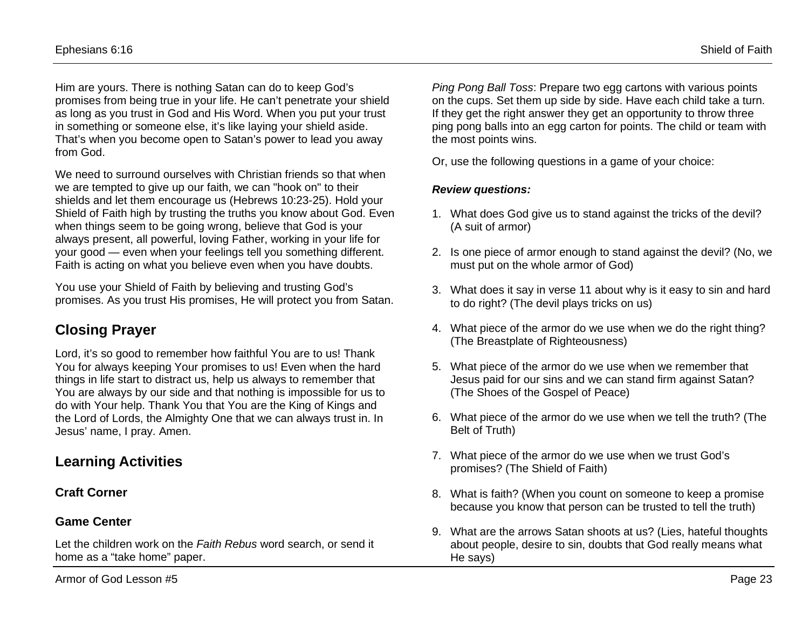Him are yours. There is nothing Satan can do to keep God's promises from being true in your life. He can't penetrate your shield as long as you trust in God and His Word. When you put your trust in something or someone else, it's like laying your shield aside. That's when you become open to Satan's power to lead you away from God.

We need to surround ourselves with Christian friends so that when we are tempted to give up our faith, we can "hook on" to their shields and let them encourage us (Hebrews 10:23-25). Hold your Shield of Faith high by trusting the truths you know about God. Even when things seem to be going wrong, believe that God is your always present, all powerful, loving Father, working in your life for your good — even when your feelings tell you something different. Faith is acting on what you believe even when you have doubts.

You use your Shield of Faith by believing and trusting God's promises. As you trust His promises, He will protect you from Satan.

# **Closing Prayer**

Lord, it's so good to remember how faithful You are to us! Thank You for always keeping Your promises to us! Even when the hard things in life start to distract us, help us always to remember that You are always by our side and that nothing is impossible for us to do with Your help. Thank You that You are the King of Kings and the Lord of Lords, the Almighty One that we can always trust in. In Jesus' name, I pray. Amen.

## **Learning Activities**

### **Craft Corner**

### **Game Center**

Let the children work on the *Faith Rebus* word search, or send it home as a "take home" paper.

*Ping Pong Ball Toss*: Prepare two egg cartons with various points on the cups. Set them up side by side. Have each child take a turn. If they get the right answer they get an opportunity to throw three ping pong balls into an egg carton for points. The child or team with the most points wins.

Or, use the following questions in a game of your choice:

#### *Review questions:*

- 1. What does God give us to stand against the tricks of the devil? (A suit of armor)
- 2. Is one piece of armor enough to stand against the devil? (No, we must put on the whole armor of God)
- 3. What does it say in verse 11 about why is it easy to sin and hard to do right? (The devil plays tricks on us)
- 4. What piece of the armor do we use when we do the right thing? (The Breastplate of Righteousness)
- 5. What piece of the armor do we use when we remember that Jesus paid for our sins and we can stand firm against Satan? (The Shoes of the Gospel of Peace)
- 6. What piece of the armor do we use when we tell the truth? (The Belt of Truth)
- 7. What piece of the armor do we use when we trust God's promises? (The Shield of Faith)
- 8. What is faith? (When you count on someone to keep a promise because you know that person can be trusted to tell the truth)
- 9. What are the arrows Satan shoots at us? (Lies, hateful thoughts about people, desire to sin, doubts that God really means what He says)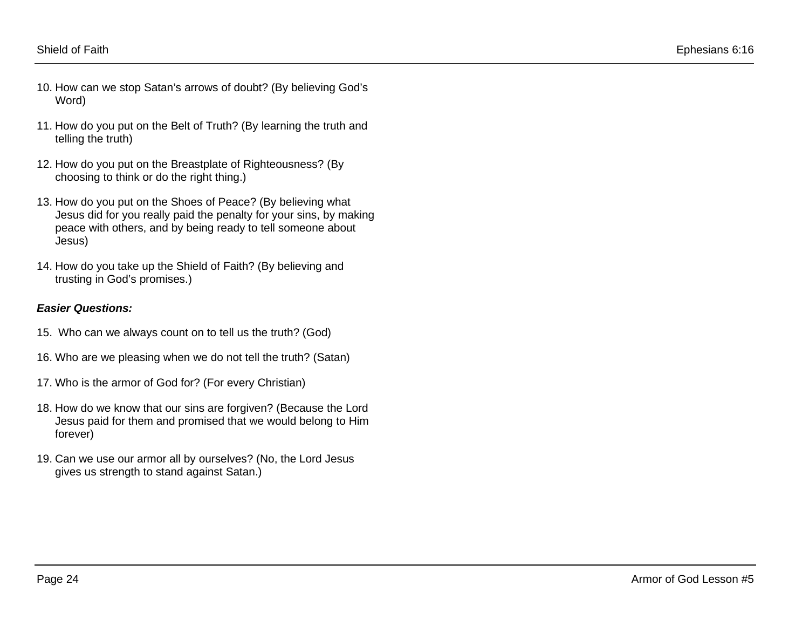- 10. How can we stop Satan's arrows of doubt? (By believing God's Word)
- 11. How do you put on the Belt of Truth? (By learning the truth and telling the truth)
- 12. How do you put on the Breastplate of Righteousness? (By choosing to think or do the right thing.)
- 13. How do you put on the Shoes of Peace? (By believing what Jesus did for you really paid the penalty for your sins, by making peace with others, and by being ready to tell someone about Jesus)
- 14. How do you take up the Shield of Faith? (By believing and trusting in God's promises.)

#### *Easier Questions:*

- 15. Who can we always count on to tell us the truth? (God)
- 16. Who are we pleasing when we do not tell the truth? (Satan)
- 17. Who is the armor of God for? (For every Christian)
- 18. How do we know that our sins are forgiven? (Because the Lord Jesus paid for them and promised that we would belong to Him forever)
- 19. Can we use our armor all by ourselves? (No, the Lord Jesus gives us strength to stand against Satan.)